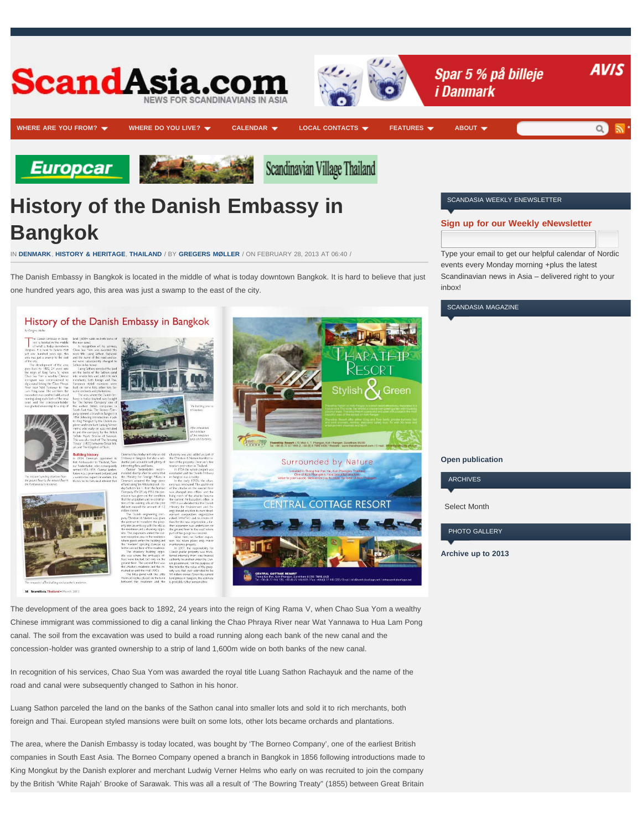<span id="page-0-0"></span>



## Spar 5 % på billeje i Danmark

**WHERE ARE YOU FROM?** ★ [WHERE DO YOU LIVE?](http://scandasia.com/where-you-live/) ★ [CALENDAR](http://scandasia.com/events/) ★ [LOCAL CONTACTS](http://scandasia.com/local-contacts/) ★ [FEATURES](http://scandasia.com/category/features/) ★ [ABOUT](http://scandasia.com/about/) ★

SCANDASIA WEEKLY ENEWSLETTER

**Sign up for our Weekly eNewsletter**

Type your email to get our helpful calendar of Nordic events every Monday morning +plus the latest Scandinavian news in Asia – delivered right to your

**[\\*](http://scandasia.com/feed/)**

**AVIS** 

 $\alpha$ 

Europcar



Scandinavian Village Thailand

# **[History of the Danish Embassy in](#page-0-0) [Bangkok](#page-0-0)**

IN **[DENMARK](http://scandasia.com/category/news/denmark/)**, **[HISTORY & HERITAGE](http://scandasia.com/category/features/history-heritage/)**, **[THAILAND](http://scandasia.com/category/news/thailand/)** / BY **[GREGERS MØLLER](http://scandasia.com/author/gregers/)** / ON FEBRUARY 28, 2013 AT 06:40 /

The Danish Embassy in Bangkok is located in the middle of what is today downtown Bangkok. It is hard to believe that just one hundred years ago, this area was just a swamp to the east of the city.

### History of the Danish Embassy in Bangkok







![](_page_0_Picture_30.jpeg)

SCANDASIA MAGAZINE

**Open publication**

### ARCHIVES

inbox!

Select Month

PHOTO GALLERY

The development of the area goes back to 1892, 24 years into the reign of King Rama V, when Chao Sua Yom a wealthy Chinese immigrant was commissioned to dig a canal linking the Chao Phraya River near Wat Yannawa to Hua Lam Pong canal. The soil from the excavation was used to build a road running along each bank of the new canal and the concession-holder was granted ownership to a strip of land 1,600m wide on both banks of the new canal.

In recognition of his services, Chao Sua Yom was awarded the royal title Luang Sathon Rachayuk and the name of the road and canal were subsequently changed to Sathon in his honor.

Luang Sathon parceled the land on the banks of the Sathon canal into smaller lots and sold it to rich merchants, both foreign and Thai. European styled mansions were built on some lots, other lots became orchards and plantations.

The area, where the Danish Embassy is today located, was bought by 'The Borneo Company', one of the earliest British companies in South East Asia. The Borneo Company opened a branch in Bangkok in 1856 following introductions made to King Mongkut by the Danish explorer and merchant Ludwig Verner Helms who early on was recruited to join the company by the British 'White Rajah' Brooke of Sarawak. This was all a result of 'The Bowring Treaty" (1855) between Great Britain

**Archive up to 2013**